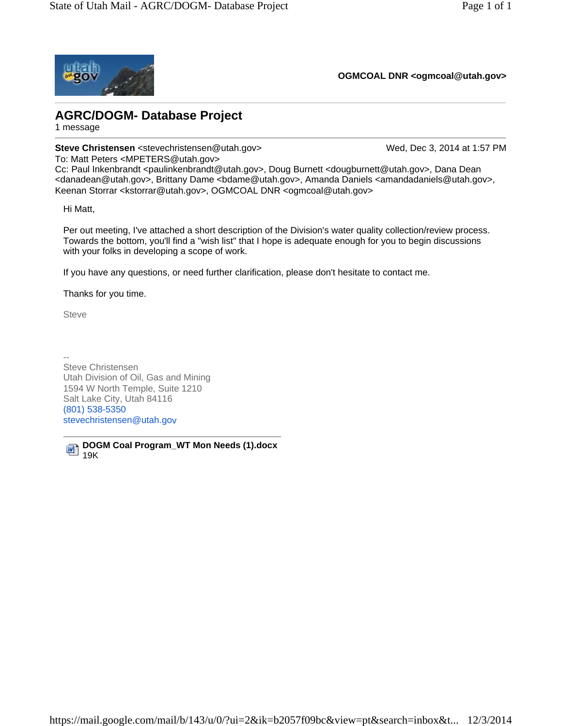

**OGMCOAL DNR <ogmcoal@utah.gov>**

## **AGRC/DOGM- Database Project**

1 message

**Steve Christensen** <stevechristensen@utah.gov> Wed, Dec 3, 2014 at 1:57 PM

To: Matt Peters <MPETERS@utah.gov>

Cc: Paul Inkenbrandt <paulinkenbrandt@utah.gov>, Doug Burnett <dougburnett@utah.gov>, Dana Dean <danadean@utah.gov>, Brittany Dame <bdame@utah.gov>, Amanda Daniels <amandadaniels@utah.gov>, Keenan Storrar <kstorrar@utah.gov>, OGMCOAL DNR <ogmcoal@utah.gov>

Hi Matt,

Per out meeting, I've attached a short description of the Division's water quality collection/review process. Towards the bottom, you'll find a "wish list" that I hope is adequate enough for you to begin discussions with your folks in developing a scope of work.

If you have any questions, or need further clarification, please don't hesitate to contact me.

Thanks for you time.

**Steve** 

-- Steve Christensen Utah Division of Oil, Gas and Mining 1594 W North Temple, Suite 1210 Salt Lake City, Utah 84116 (801) 538-5350 stevechristensen@utah.gov

**DOGM Coal Program\_WT Mon Needs (1).docx** 呬 19K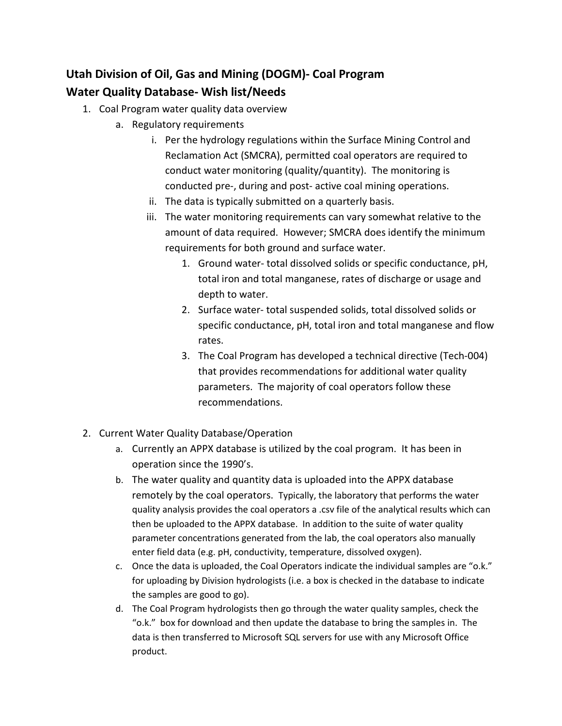## **Utah Division of Oil, Gas and Mining (DOGM)- Coal Program Water Quality Database- Wish list/Needs**

- 1. Coal Program water quality data overview
	- a. Regulatory requirements
		- i. Per the hydrology regulations within the Surface Mining Control and Reclamation Act (SMCRA), permitted coal operators are required to conduct water monitoring (quality/quantity). The monitoring is conducted pre-, during and post- active coal mining operations.
		- ii. The data is typically submitted on a quarterly basis.
		- iii. The water monitoring requirements can vary somewhat relative to the amount of data required. However; SMCRA does identify the minimum requirements for both ground and surface water.
			- 1. Ground water- total dissolved solids or specific conductance, pH, total iron and total manganese, rates of discharge or usage and depth to water.
			- 2. Surface water- total suspended solids, total dissolved solids or specific conductance, pH, total iron and total manganese and flow rates.
			- 3. The Coal Program has developed a technical directive (Tech-004) that provides recommendations for additional water quality parameters. The majority of coal operators follow these recommendations.
- 2. Current Water Quality Database/Operation
	- a. Currently an APPX database is utilized by the coal program. It has been in operation since the 1990's.
	- b. The water quality and quantity data is uploaded into the APPX database remotely by the coal operators. Typically, the laboratory that performs the water quality analysis provides the coal operators a .csv file of the analytical results which can then be uploaded to the APPX database. In addition to the suite of water quality parameter concentrations generated from the lab, the coal operators also manually enter field data (e.g. pH, conductivity, temperature, dissolved oxygen).
	- c. Once the data is uploaded, the Coal Operators indicate the individual samples are "o.k." for uploading by Division hydrologists (i.e. a box is checked in the database to indicate the samples are good to go).
	- d. The Coal Program hydrologists then go through the water quality samples, check the "o.k." box for download and then update the database to bring the samples in. The data is then transferred to Microsoft SQL servers for use with any Microsoft Office product.